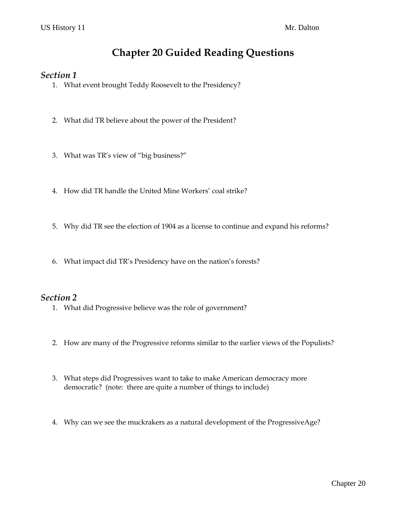# **Chapter 20 Guided Reading Questions**

### *Section 1*

- 1. What event brought Teddy Roosevelt to the Presidency?
- 2. What did TR believe about the power of the President?
- 3. What was TR's view of "big business?"
- 4. How did TR handle the United Mine Workers' coal strike?
- 5. Why did TR see the election of 1904 as a license to continue and expand his reforms?
- 6. What impact did TR's Presidency have on the nation's forests?

#### *Section 2*

- 1. What did Progressive believe was the role of government?
- 2. How are many of the Progressive reforms similar to the earlier views of the Populists?
- 3. What steps did Progressives want to take to make American democracy more democratic? (note: there are quite a number of things to include)
- 4. Why can we see the muckrakers as a natural development of the ProgressiveAge?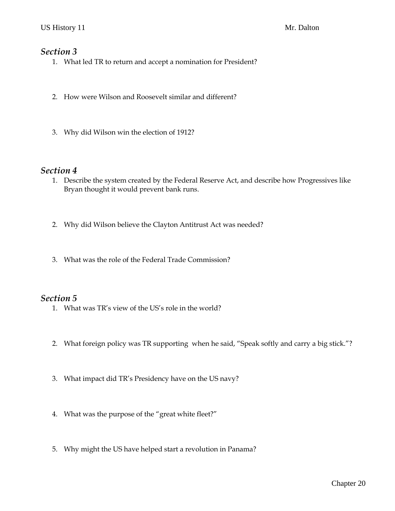## *Section 3*

- 1. What led TR to return and accept a nomination for President?
- 2. How were Wilson and Roosevelt similar and different?
- 3. Why did Wilson win the election of 1912?

#### *Section 4*

- 1. Describe the system created by the Federal Reserve Act, and describe how Progressives like Bryan thought it would prevent bank runs.
- 2. Why did Wilson believe the Clayton Antitrust Act was needed?
- 3. What was the role of the Federal Trade Commission?

## *Section 5*

- 1. What was TR's view of the US's role in the world?
- 2. What foreign policy was TR supporting when he said, "Speak softly and carry a big stick."?
- 3. What impact did TR's Presidency have on the US navy?
- 4. What was the purpose of the "great white fleet?"
- 5. Why might the US have helped start a revolution in Panama?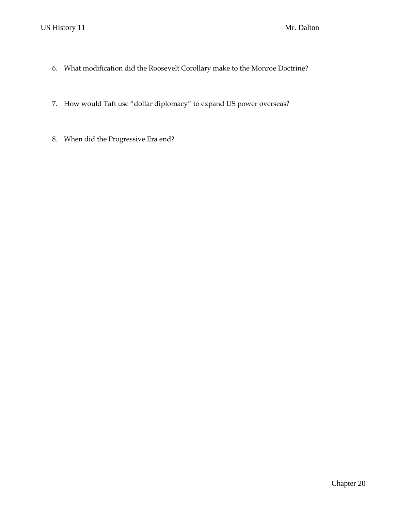- 6. What modification did the Roosevelt Corollary make to the Monroe Doctrine?
- 7. How would Taft use "dollar diplomacy" to expand US power overseas?
- 8. When did the Progressive Era end?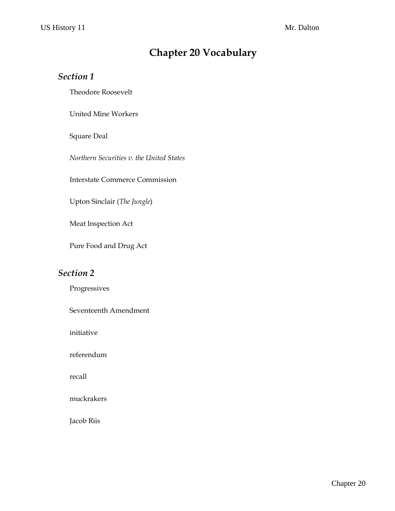# **Chapter 20 Vocabulary**

## *Section 1*

Theodore Roosevelt

United Mine Workers

Square Deal

*Northern Securities v. the United States*

Interstate Commerce Commission

Upton Sinclair (*The Jungle*)

Meat Inspection Act

Pure Food and Drug Act

# *Section 2*

Progressives

Seventeenth Amendment

initiative

referendum

recall

muckrakers

Jacob Riis